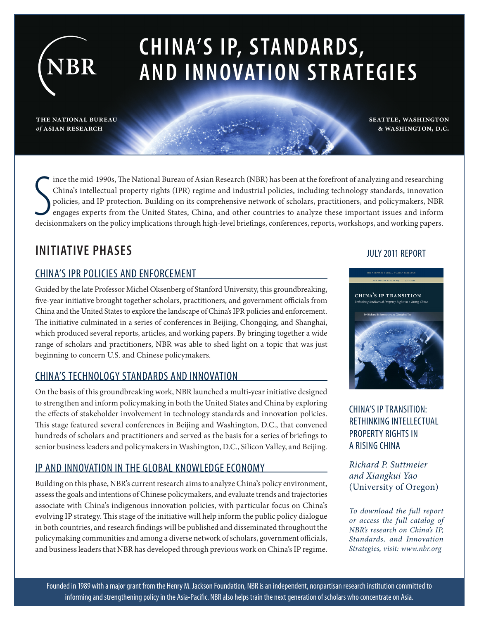# **CHINA'S IP, S TANDARDS, AND INNOVATION STRATEGIES**

**the national bureau program** *of* **asian research**

NBR

Ince the mid-1990s, The National Bureau of Asian Research (NBR) has been at the forefront of analyzing and researching<br>China's intellectual property rights (IPR) regime and industrial policies, including technology standar ince the mid-1990s, The National Bureau of Asian Research (NBR) has been at the forefront of analyzing and researching China's intellectual property rights (IPR) regime and industrial policies, including technology standards, innovation policies, and IP protection. Building on its comprehensive network of scholars, practitioners, and policymakers, NBR engages experts from the United States, China, and other countries to analyze these important issues and inform

### **INITIATIVE PHASES**

### CHINA'S IPR POLICIES AND ENFORCEMENT

Guided by the late Professor Michel Oksenberg of Stanford University, this groundbreaking, five-year initiative brought together scholars, practitioners, and government officials from China and the United States to explore the landscape of China's IPR policies and enforcement. The initiative culminated in a series of conferences in Beijing, Chongqing, and Shanghai, which produced several reports, articles, and working papers. By bringing together a wide range of scholars and practitioners, NBR was able to shed light on a topic that was just beginning to concern U.S. and Chinese policymakers.

### CHINA'S TECHNOLOGY STANDARDS AND INNOVATION

On the basis of this groundbreaking work, NBR launched a multi-year initiative designed to strengthen and inform policymaking in both the United States and China by exploring the effects of stakeholder involvement in technology standards and innovation policies. This stage featured several conferences in Beijing and Washington, D.C., that convened hundreds of scholars and practitioners and served as the basis for a series of briefings to senior business leaders and policymakers in Washington, D.C., Silicon Valley, and Beijing.

### IP AND INNOVATION IN THE GLOBAL KNOWLEDGE ECONOMY

Building on this phase, NBR's current research aims to analyze China's policy environment, assess the goals and intentions of Chinese policymakers, and evaluate trends and trajectories associate with China's indigenous innovation policies, with particular focus on China's evolving IP strategy. This stage of the initiative will help inform the public policy dialogue in both countries, and research findings will be published and disseminated throughout the policymaking communities and among a diverse network of scholars, government officials, and business leaders that NBR has developed through previous work on China's IP regime.

### JULY 2011 REPORT

**seattle, washington & washington, d.c.**



CHINA'S IP TRANSITION: RETHINKING INTELLECTUAL PROPERTY RIGHTS IN A RISING CHINA

*Richard P. Suttmeier and Xiangkui Yao*  (University of Oregon)

*To download the full report or access the full catalog of NBR's research on China's IP, Standards, and Innovation Strategies, visit: www.nbr.org*

Founded in 1989 with a major grant from the Henry M. Jackson Foundation, NBR is an independent, nonpartisan research institution committed to informing and strengthening policy in the Asia-Pacific. NBR also helps train the next generation of scholars who concentrate on Asia.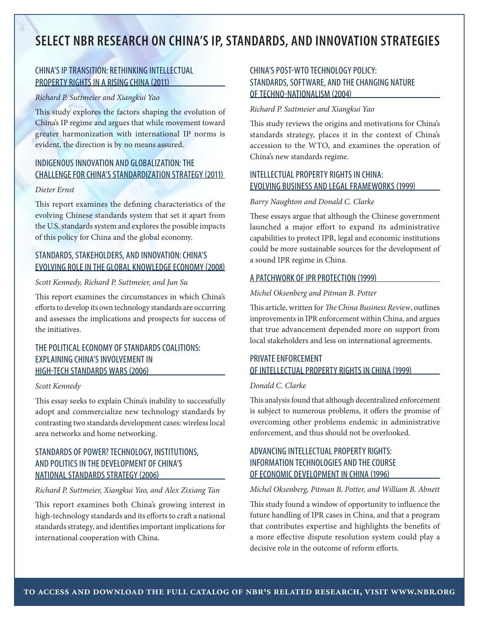### **SELECT NBR RESEARCH ON CHINA'S IP, STANDARDS, AND INNOVATION STRATEGIES**

### CHINA'S IP TRANSITION: RETHINKING INTELLECTUAL PROPERTY RIGHTS IN A RISING CHINA (2011)

#### *Richard P. Suttmeier and Xiangkui Yao*

This study explores the factors shaping the evolution of China's IP regime and argues that while movement toward greater harmonization with international IP norms is evident, the direction is by no means assured.

### INDIGENOUS INNOVATION AND GLOBALIZATION: THE CHALLENGE FOR CHINA'S STANDARDIZATION STRATEGY (2011)

#### *Dieter Ernst*

This report examines the defining characteristics of the evolving Chinese standards system that set it apart from the U.S. standards system and explores the possible impacts of this policy for China and the global economy.

### STANDARDS, STAKEHOLDERS, AND INNOVATION: CHINA'S EVOLVING ROLE IN THE GLOBAL KNOWLEDGE ECONOMY (2008)

### *Scott Kennedy, Richard P. Suttmeier, and Jun Su*

This report examines the circumstances in which China's efforts to develop its own technology standards are occurring and assesses the implications and prospects for success of the initiatives.

### THE POLITICAL ECONOMY OF STANDARDS COALITIONS: EXPLAINING CHINA'S INVOLVEMENT IN HIGH-TECH STANDARDS WARS (2006)

#### *Scott Kennedy*

This essay seeks to explain China's inability to successfully adopt and commercialize new technology standards by contrasting two standards development cases: wireless local area networks and home networking.

### STANDARDS OF POWER? TECHNOLOGY, INSTITUTIONS, AND POLITICS IN THE DEVELOPMENT OF CHINA'S NATIONAL STANDARDS STRATEGY (2006)

*Richard P. Suttmeier, Xiangkui Yao, and Alex Zixiang Tan* 

This report examines both China's growing interest in high-technology standards and its efforts to craft a national standards strategy, and identifies important implications for international cooperation with China.

### CHINA'S POST-WTO TECHNOLOGY POLICY: STANDARDS, SOFTWARE, AND THE CHANGING NATURE OF TECHNO-NATIONALISM (2004)

#### *Richard P. Suttmeier and Xiangkui Yao*

This study reviews the origins and motivations for China's standards strategy, places it in the context of China's accession to the WTO, and examines the operation of China's new standards regime.

### INTELLECTUAL PROPERTY RIGHTS IN CHINA: EVOLVING BUSINESS AND LEGAL FRAMEWORKS (1999)

#### *Barry Naughton and Donald C. Clarke*

These essays argue that although the Chinese government launched a major effort to expand its administrative capabilities to protect IPR, legal and economic institutions could be more sustainable sources for the development of a sound IPR regime in China.

### A PATCHWORK OF IPR PROTECTION (1999)

#### *Michel Oksenberg and Pitman B. Potter*

This article, written for *The China Business Review*, outlines improvements in IPR enforcement within China, and argues that true advancement depended more on support from local stakeholders and less on international agreements.

### PRIVATE ENFORCEMENT OF INTELLECTUAL PROPERTY RIGHTS IN CHINA (1999)

### *Donald C. Clarke*

This analysis found that although decentralized enforcement is subject to numerous problems, it offers the promise of overcoming other problems endemic in administrative enforcement, and thus should not be overlooked.

### ADVANCING INTELLECTUAL PROPERTY RIGHTS: INFORMATION TECHNOLOGIES AND THE COURSE OF ECONOMIC DEVELOPMENT IN CHINA (1996)

#### *Michel Oksenberg, Pitman B. Potter, and William B. Abnett*

This study found a window of opportunity to influence the future handling of IPR cases in China, and that a program that contributes expertise and highlights the benefits of a more effective dispute resolution system could play a decisive role in the outcome of reform efforts.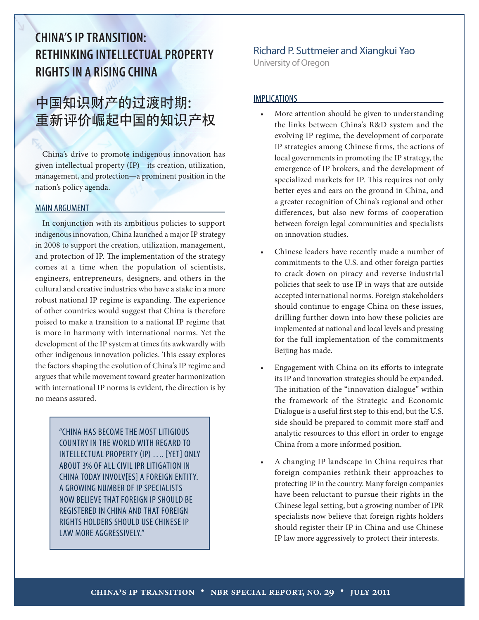# **CHINA'S IP TRANSITION: RETHINKING INTELLECTUAL PROPERTY RIGHTS IN A RISING CHINA**

# 中国知识财产的过渡时期: 重新评价崛起中国的知识产权

China's drive to promote indigenous innovation has given intellectual property (IP)—its creation, utilization, management, and protection—a prominent position in the nation's policy agenda.

#### MAIN ARGUMENT

In conjunction with its ambitious policies to support indigenous innovation, China launched a major IP strategy in 2008 to support the creation, utilization, management, and protection of IP. The implementation of the strategy comes at a time when the population of scientists, engineers, entrepreneurs, designers, and others in the cultural and creative industries who have a stake in a more robust national IP regime is expanding. The experience of other countries would suggest that China is therefore poised to make a transition to a national IP regime that is more in harmony with international norms. Yet the development of the IP system at times fits awkwardly with other indigenous innovation policies. This essay explores the factors shaping the evolution of China's IP regime and argues that while movement toward greater harmonization with international IP norms is evident, the direction is by no means assured.

> "CHINA HAS BECOME THE MOST LITIGIOUS COUNTRY IN THE WORLD WITH REGARD TO INTELLECTUAL PROPERTY (IP) …. [YET] ONLY ABOUT 3% OF ALL CIVIL IPR LITIGATION IN CHINA TODAY INVOLV[ES] A FOREIGN ENTITY. A GROWING NUMBER OF IP SPECIALISTS NOW BELIEVE THAT FOREIGN IP SHOULD BE REGISTERED IN CHINA AND THAT FOREIGN RIGHTS HOLDERS SHOULD USE CHINESE IP LAW MORE AGGRESSIVELY."

### Richard P. Suttmeier and Xiangkui Yao

University of Oregon

#### IMPLICATIONS

- More attention should be given to understanding the links between China's R&D system and the evolving IP regime, the development of corporate IP strategies among Chinese firms, the actions of local governments in promoting the IP strategy, the emergence of IP brokers, and the development of specialized markets for IP. This requires not only better eyes and ears on the ground in China, and a greater recognition of China's regional and other differences, but also new forms of cooperation between foreign legal communities and specialists on innovation studies.
- Chinese leaders have recently made a number of commitments to the U.S. and other foreign parties to crack down on piracy and reverse industrial policies that seek to use IP in ways that are outside accepted international norms. Foreign stakeholders should continue to engage China on these issues, drilling further down into how these policies are implemented at national and local levels and pressing for the full implementation of the commitments Beijing has made.
- Engagement with China on its efforts to integrate its IP and innovation strategies should be expanded. The initiation of the "innovation dialogue" within the framework of the Strategic and Economic Dialogue is a useful first step to this end, but the U.S. side should be prepared to commit more staff and analytic resources to this effort in order to engage China from a more informed position.
- A changing IP landscape in China requires that foreign companies rethink their approaches to protecting IP in the country. Many foreign companies have been reluctant to pursue their rights in the Chinese legal setting, but a growing number of IPR specialists now believe that foreign rights holders should register their IP in China and use Chinese IP law more aggressively to protect their interests.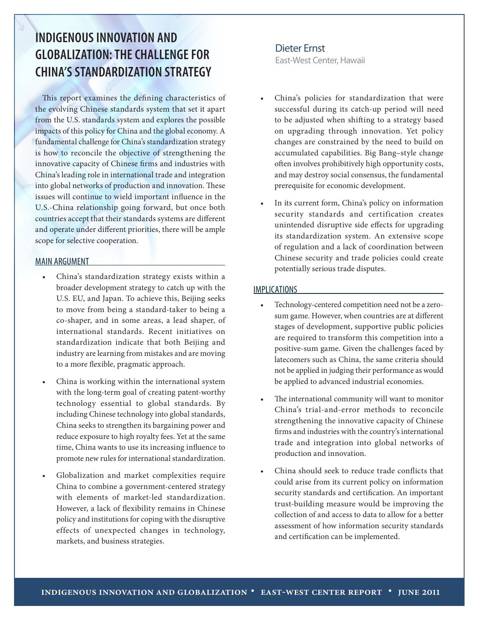### **INDIGENOUS INNOVATION AND GLOBALIZATION: THE CHALLENGE FOR CHINA'S STANDARDIZATION STRATEGY**

This report examines the defining characteristics of the evolving Chinese standards system that set it apart from the U.S. standards system and explores the possible impacts of this policy for China and the global economy. A fundamental challenge for China's standardization strategy is how to reconcile the objective of strengthening the innovative capacity of Chinese firms and industries with China's leading role in international trade and integration into global networks of production and innovation. These issues will continue to wield important influence in the U.S.-China relationship going forward, but once both countries accept that their standards systems are different and operate under different priorities, there will be ample scope for selective cooperation.

### MAIN ARGUMENT

- China's standardization strategy exists within a broader development strategy to catch up with the U.S. EU, and Japan. To achieve this, Beijing seeks to move from being a standard-taker to being a co-shaper, and in some areas, a lead shaper, of international standards. Recent initiatives on standardization indicate that both Beijing and industry are learning from mistakes and are moving to a more flexible, pragmatic approach.
- China is working within the international system with the long-term goal of creating patent-worthy technology essential to global standards. By including Chinese technology into global standards, China seeks to strengthen its bargaining power and reduce exposure to high royalty fees. Yet at the same time, China wants to use its increasing influence to promote new rules for international standardization.
- Globalization and market complexities require China to combine a government-centered strategy with elements of market-led standardization. However, a lack of flexibility remains in Chinese policy and institutions for coping with the disruptive effects of unexpected changes in technology, markets, and business strategies.

### Dieter Ernst

East-West Center, Hawaii

- China's policies for standardization that were successful during its catch-up period will need to be adjusted when shifting to a strategy based on upgrading through innovation. Yet policy changes are constrained by the need to build on accumulated capabilities. Big Bang–style change often involves prohibitively high opportunity costs, and may destroy social consensus, the fundamental prerequisite for economic development.
- In its current form, China's policy on information security standards and certification creates unintended disruptive side effects for upgrading its standardization system. An extensive scope of regulation and a lack of coordination between Chinese security and trade policies could create potentially serious trade disputes.

### **IMPLICATIONS**

- Technology-centered competition need not be a zerosum game. However, when countries are at different stages of development, supportive public policies are required to transform this competition into a positive-sum game. Given the challenges faced by latecomers such as China, the same criteria should not be applied in judging their performance as would be applied to advanced industrial economies.
- The international community will want to monitor China's trial-and-error methods to reconcile strengthening the innovative capacity of Chinese firms and industries with the country's international trade and integration into global networks of production and innovation.
- China should seek to reduce trade conflicts that could arise from its current policy on information security standards and certification. An important trust-building measure would be improving the collection of and access to data to allow for a better assessment of how information security standards and certification can be implemented.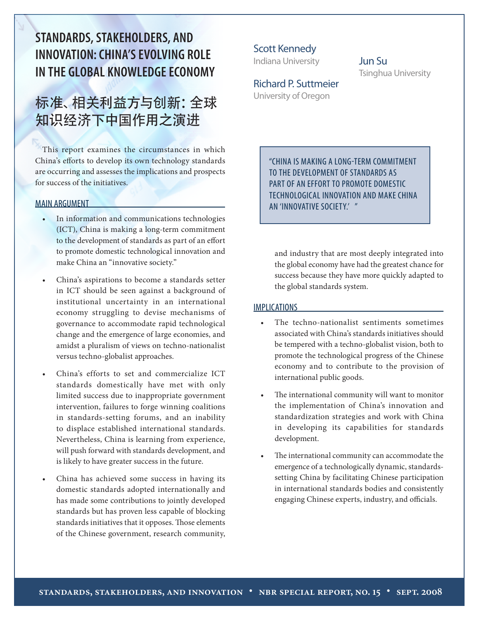# **STANDARDS, STAKEHOLDERS, AND INNOVATION: CHINA'S EVOLVING ROLE IN THE GLOBAL KNOWLEDGE ECONOMY**

# 标准、相关利益方与创新:全球 知识经济下中国作用之演进

This report examines the circumstances in which China's efforts to develop its own technology standards are occurring and assesses the implications and prospects for success of the initiatives.

### MAIN ARGUMENT

- In information and communications technologies (ICT), China is making a long-term commitment to the development of standards as part of an effort to promote domestic technological innovation and make China an "innovative society."
- China's aspirations to become a standards setter in ICT should be seen against a background of institutional uncertainty in an international economy struggling to devise mechanisms of governance to accommodate rapid technological change and the emergence of large economies, and amidst a pluralism of views on techno-nationalist versus techno-globalist approaches.
- China's efforts to set and commercialize ICT standards domestically have met with only limited success due to inappropriate government intervention, failures to forge winning coalitions in standards-setting forums, and an inability to displace established international standards. Nevertheless, China is learning from experience, will push forward with standards development, and is likely to have greater success in the future.
- China has achieved some success in having its domestic standards adopted internationally and has made some contributions to jointly developed standards but has proven less capable of blocking standards initiatives that it opposes. Those elements of the Chinese government, research community,

Scott Kennedy Indiana University

### Jun Su Tsinghua University

Richard P. Suttmeier University of Oregon

> "CHINA IS MAKING A LONG-TERM COMMITMENT TO THE DEVELOPMENT OF STANDARDS AS PART OF AN EFFORT TO PROMOTE DOMESTIC TECHNOLOGICAL INNOVATION AND MAKE CHINA AN 'INNOVATIVE SOCIETY.' "

and industry that are most deeply integrated into the global economy have had the greatest chance for success because they have more quickly adapted to the global standards system.

### **IMPLICATIONS**

- The techno-nationalist sentiments sometimes associated with China's standards initiatives should be tempered with a techno-globalist vision, both to promote the technological progress of the Chinese economy and to contribute to the provision of international public goods.
- The international community will want to monitor the implementation of China's innovation and standardization strategies and work with China in developing its capabilities for standards development.
- The international community can accommodate the emergence of a technologically dynamic, standardssetting China by facilitating Chinese participation in international standards bodies and consistently engaging Chinese experts, industry, and officials.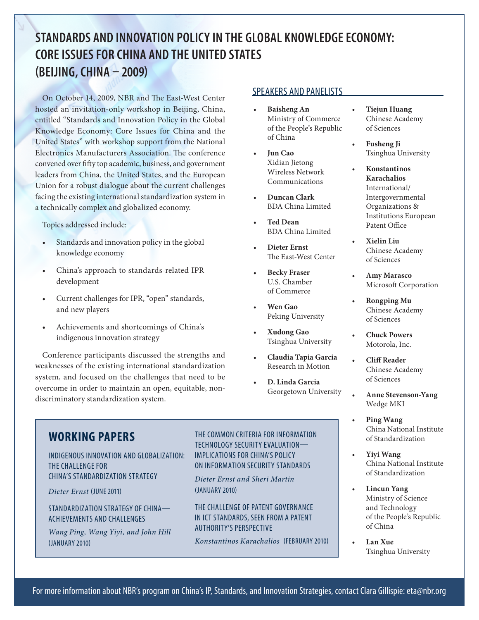# **STANDARDS AND INNOVATION POLICY IN THE GLOBAL KNOWLEDGE ECONOMY: CORE ISSUES FOR CHINA AND THE UNITED STATES (BEIJING, CHINA – 2009)**

On October 14, 2009, NBR and The East-West Center hosted an invitation-only workshop in Beijing, China, entitled "Standards and Innovation Policy in the Global Knowledge Economy: Core Issues for China and the United States" with workshop support from the National Electronics Manufacturers Association. The conference convened over fifty top academic, business, and government leaders from China, the United States, and the European Union for a robust dialogue about the current challenges facing the existing international standardization system in a technically complex and globalized economy.

Topics addressed include:

- Standards and innovation policy in the global knowledge economy
- China's approach to standards-related IPR development
- Current challenges for IPR, "open" standards, and new players
- Achievements and shortcomings of China's indigenous innovation strategy

Conference participants discussed the strengths and weaknesses of the existing international standardization system, and focused on the challenges that need to be overcome in order to maintain an open, equitable, nondiscriminatory standardization system.

### SPEAKERS AND PANELISTS

- **Baisheng An** Ministry of Commerce of the People's Republic of China
- **Iun Cao** Xidian Jietong Wireless Network Communications
- **Duncan Clark** BDA China Limited
- **Ted Dean** BDA China Limited
- Dieter Ernst The East-West Center
- **Becky Fraser** U.S. Chamber of Commerce
- **Wen Gao** Peking University
- • **Xudong Gao**  Tsinghua University
- • **Claudia Tapia Garcia** Research in Motion
- **D. Linda Garcia** Georgetown University
- **Tiejun Huang** Chinese Academy of Sciences
- **Fusheng Ji** Tsinghua University
- • **Konstantinos Karachalios** International/ Intergovernmental Organizations & Institutions European Patent Office
- • **Xielin Liu** Chinese Academy of Sciences
- Amy Marasco Microsoft Corporation
- **Rongping Mu** Chinese Academy of Sciences
- **Chuck Powers** Motorola, Inc.
- **Cliff Reader** Chinese Academy of Sciences
- **Anne Stevenson-Yang** Wedge MKI
- **Ping Wang** China National Institute of Standardization
- • **Yiyi Wang**  China National Institute of Standardization
- **Lincun Yang** Ministry of Science and Technology of the People's Republic of China
- • **Lan Xue** Tsinghua University

### **WORKING PAPERS**

INDIGENOUS INNOVATION AND GLOBALIZATION: THE CHALLENGE FOR CHINA'S STANDARDIZATION STRATEGY

*Dieter Ernst* (JUNE 2011)

STANDARDIZATION STRATEGY OF CHINA— ACHIEVEMENTS AND CHALLENGES

*Wang Ping, Wang Yiyi, and John Hill*  (JANUARY 2010)

THE COMMON CRITERIA FOR INFORMATION TECHNOLOGY SECURITY EVALUATION— IMPLICATIONS FOR CHINA'S POLICY ON INFORMATION SECURITY STANDARDS

*Dieter Ernst and Sheri Martin*  (JANUARY 2010)

THE CHALLENGE OF PATENT GOVERNANCE IN ICT STANDARDS, SEEN FROM A PATENT AUTHORITY'S PERSPECTIVE

*Konstantinos Karachalios* (FEBRUARY 2010)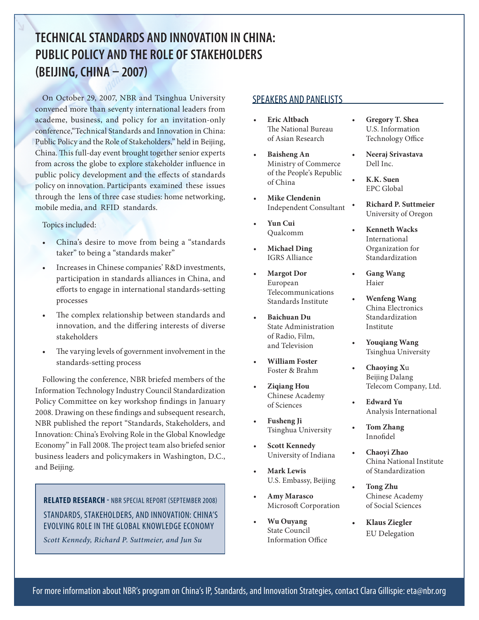# **TECHNICAL STANDARDS AND INNOVATION IN CHINA: PUBLIC POLICY AND THE ROLE OF STAKEHOLDERS (BEIJING, CHINA – 2007)**

On October 29, 2007, NBR and Tsinghua University convened more than seventy international leaders from academe, business, and policy for an invitation-only conference,"Technical Standards and Innovation in China: Public Policy and the Role of Stakeholders," held in Beijing, China. This full-day event brought together senior experts from across the globe to explore stakeholder influence in public policy development and the effects of standards policy on innovation. Participants examined these issues through the lens of three case studies: home networking, mobile media, and RFID standards.

Topics included:

- China's desire to move from being a "standards" taker" to being a "standards maker"
- Increases in Chinese companies' R&D investments, participation in standards alliances in China, and efforts to engage in international standards-setting processes
- The complex relationship between standards and innovation, and the differing interests of diverse stakeholders
- The varying levels of government involvement in the standards-setting process

Following the conference, NBR briefed members of the Information Technology Industry Council Standardization Policy Committee on key workshop findings in January 2008. Drawing on these findings and subsequent research, NBR published the report "Standards, Stakeholders, and Innovation: China's Evolving Role in the Global Knowledge Economy" in Fall 2008. The project team also briefed senior business leaders and policymakers in Washington, D.C., and Beijing.

### **RELATED RESEARCH -** NBR SPECIAL REPORT (SEPTEMBER 2008) STANDARDS, STAKEHOLDERS, AND INNOVATION: CHINA'S EVOLVING ROLE IN THE GLOBAL KNOWLEDGE ECONOMY

*Scott Kennedy, Richard P. Suttmeier, and Jun Su* 

### SPEAKERS AND PANELISTS

- **Eric Altbach** The National Bureau of Asian Research
- • **Baisheng An** Ministry of Commerce of the People's Republic of China
- **Mike Clendenin** Independent Consultant
- Yun Cui Qualcomm
- **Michael Ding** IGRS Alliance
- **Margot Dor** European Telecommunications Standards Institute
- • **Baichuan Du** State Administration of Radio, Film, and Television
- **William Foster** Foster & Brahm
- **Ziqiang Hou** Chinese Academy of Sciences
- **Fusheng Ji** Tsinghua University
- • **Scott Kennedy**  University of Indiana
- **Mark Lewis** U.S. Embassy, Beijing
- Amy Marasco Microsoft Corporation
- • **Wu Ouyang** State Council Information Office
- **Gregory T. Shea** U.S. Information Technology Office
- **Neeraj Srivastava** Dell Inc.
- • **K.K. Suen**  EPC Global
- • **Richard P. Suttmeier**  University of Oregon
- **Kenneth Wacks** International Organization for Standardization
- **Gang Wang** Haier
- **Wenfeng Wang** China Electronics Standardization Institute
- • **Youqiang Wang** Tsinghua University
- • **Chaoying X**u Beijing Dalang Telecom Company, Ltd.
- **Edward Yu** Analysis International
- **Tom Zhang** Innofidel
- • **Chaoyi Zhao** China National Institute of Standardization
- **Tong Zhu** Chinese Academy of Social Sciences
- **Klaus Ziegler** EU Delegation